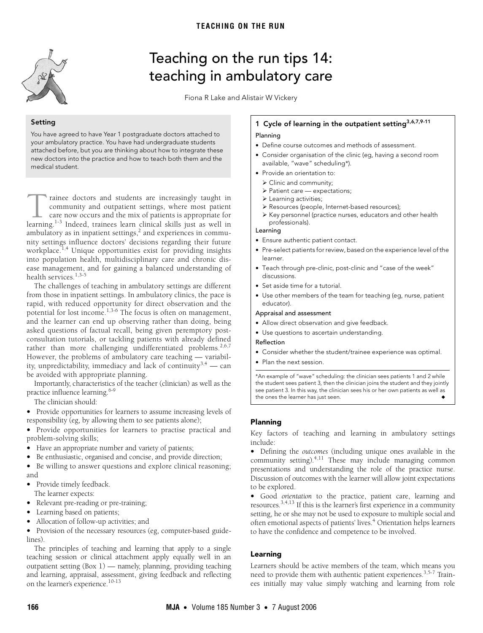<span id="page-0-0"></span>

# Teaching on the run tips 14: teaching in ambulatory care

Fiona R Lake and Alistair W Vickery

## Setting

You have agreed to have Year 1 postgraduate doctors attached to your ambulatory practice. You have had undergraduate students attached before, but you are thinking about how to integrate these new doctors into the practice and how to teach both them and the medical student.

ease management, and for gaining a balanced understanding of health services. $1,3-5$ rainee doctors and students are increasingly taught in community and outpatient settings, where most patient care now occurs and the mix of patients is appropriate for Trainee doctors and students are increasingly taught in community and outpatient settings, where most patient care now occurs and the mix of patients is appropriate for learning.<sup>1-[3](#page-1-1)</sup> Indeed, trainees learn clinical skills ambulatory as in inpatient settings, $^2$  and experiences in community settings influence doctors' decisions regarding their future workplace.<sup>[1](#page-1-0),[4](#page-1-3)</sup> Unique opportunities exist for providing insights into population health, multidisciplinary care and chronic dis-

The challenges of teaching in ambulatory settings are different from those in inpatient settings. In ambulatory clinics, the pace is rion those in inpatient settings. In ambulatory emiles, the pace is<br>rapid, with reduced opportunity for direct observation and the potential for lost income.[1,](#page-1-0)[3-](#page-1-1)[6](#page-1-5) The focus is often on management, and the learner can end up observing rather than doing, being asked questions of factual recall, being given peremptory postconsultation tutorials, or tackling patients with already defined rather than more challenging undifferentiated problems.<sup>[2,](#page-1-2)[6,](#page-1-5)[7](#page-1-6)</sup> However, the problems of ambulatory care teaching — variabil-ity, unpredictability, immediacy and lack of continuity<sup>[3](#page-1-1),4</sup> — can be avoided with appropriate planning.

Importantly, characteristics of the teacher (clinician) as well as the practice influence learning.<sup>[6](#page-1-5)[-9](#page-1-7)</sup>

The clinician should:

• Provide opportunities for learners to assume increasing levels of responsibility (eg, by allowing them to see patients alone);

• Provide opportunities for learners to practise practical and problem-solving skills;

- Have an appropriate number and variety of patients;
- Be enthusiastic, organised and concise, and provide direction;

• Be willing to answer questions and explore clinical reasoning; and

- Provide timely feedback.
	- The learner expects:
- Relevant pre-reading or pre-training;
- Learning based on patients;
- Allocation of follow-up activities; and

• Provision of the necessary resources (eg, computer-based guidelines).

The principles of teaching and learning that apply to a single teaching session or clinical attachment apply equally well in an outpatient setting ([Box 1\)](#page-0-1) — namely, planning, providing teaching and learning, appraisal, assessment, giving feedback and reflecting on the learner's experience.<sup>10[-13](#page-1-10)</sup>

# <span id="page-0-1"></span>1 Cycle of learning in the outpatient setting<sup>3,[6](#page-1-5)[,7,](#page-1-6)[9-](#page-1-7)[11](#page-1-8)</sup>

## Planning

- Define course outcomes and methods of assessment.
- Consider organisation of the clinic (eg, having a second room available, "wave" scheduling\*).
- Provide an orientation to:
	- ¾ Clinic and community;
	- ¾ Patient care expectations;
	- $\blacktriangleright$  Learning activities;
	- ¾ Resources (people, Internet-based resources);
	- ¾ Key personnel (practice nurses, educators and other health professionals).

# Learning

- Ensure authentic patient contact.
- Pre-select patients for review, based on the experience level of the learner.
- Teach through pre-clinic, post-clinic and "case of the week" discussions.
- Set aside time for a tutorial.
- Use other members of the team for teaching (eg, nurse, patient educator).

#### Appraisal and assessment

- Allow direct observation and give feedback.
- Use questions to ascertain understanding.

## Reflection

- Consider whether the student/trainee experience was optimal.
- Plan the next session.

\*An example of "wave" scheduling: the clinician sees patients 1 and 2 while the student sees patient 3, then the clinician joins the student and they jointly see patient 3. In this way, the clinician sees his or her own patients as well as the ones the learner has just seen.

## Planning

Key factors of teaching and learning in ambulatory settings include:

• Defining the *outcomes* (including unique ones available in the community setting). $4,11$  $4,11$  These may include managing common presentations and understanding the role of the practice nurse. Discussion of outcomes with the learner will allow joint expectations to be explored.

• Good *orientation* to the practice, patient care, learning and resources.[3](#page-1-1),[4](#page-1-3)[,13](#page-1-10) If this is the learner's first experience in a community setting, he or she may not be used to exposure to multiple social and often emotional aspects of patients' lives.<sup>4</sup> Orientation helps learners to have the confidence and competence to be involved.

## Learning

Learners should be active members of the team, which means you need to provide them with authentic patient experiences.<sup>3,[5-](#page-1-4)[7](#page-1-6)</sup> Trainees initially may value simply watching and learning from role